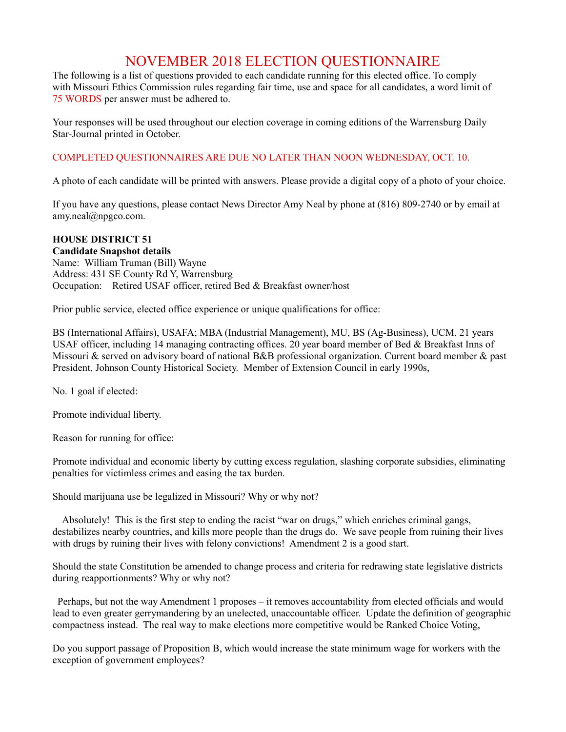## NOVEMBER 2018 ELECTION QUESTIONNAIRE

The following is a list of questions provided to each candidate running for this elected office. To comply with Missouri Ethics Commission rules regarding fair time, use and space for all candidates, a word limit of 75 WORDS per answer must be adhered to.

Your responses will be used throughout our election coverage in coming editions of the Warrensburg Daily Star-Journal printed in October.

## COMPLETED QUESTIONNAIRES ARE DUE NO LATER THAN NOON WEDNESDAY, OCT. 10.

A photo of each candidate will be printed with answers. Please provide a digital copy of a photo of your choice.

If you have any questions, please contact News Director Amy Neal by phone at (816) 809-2740 or by email at amy.neal@npgco.com.

## **HOUSE DISTRICT 51**

## **Candidate Snapshot details**

Name: William Truman (Bill) Wayne Address: 431 SE County Rd Y, Warrensburg Occupation: Retired USAF officer, retired Bed & Breakfast owner/host

Prior public service, elected office experience or unique qualifications for office:

BS (International Affairs), USAFA; MBA (Industrial Management), MU, BS (Ag-Business), UCM. 21 years USAF officer, including 14 managing contracting offices. 20 year board member of Bed & Breakfast Inns of Missouri & served on advisory board of national B&B professional organization. Current board member & past President, Johnson County Historical Society. Member of Extension Council in early 1990s,

No. 1 goal if elected:

Promote individual liberty.

Reason for running for office:

Promote individual and economic liberty by cutting excess regulation, slashing corporate subsidies, eliminating penalties for victimless crimes and easing the tax burden.

Should marijuana use be legalized in Missouri? Why or why not?

 Absolutely! This is the first step to ending the racist "war on drugs," which enriches criminal gangs, destabilizes nearby countries, and kills more people than the drugs do. We save people from ruining their lives with drugs by ruining their lives with felony convictions! Amendment 2 is a good start.

Should the state Constitution be amended to change process and criteria for redrawing state legislative districts during reapportionments? Why or why not?

 Perhaps, but not the way Amendment 1 proposes – it removes accountability from elected officials and would lead to even greater gerrymandering by an unelected, unaccountable officer. Update the definition of geographic compactness instead. The real way to make elections more competitive would be Ranked Choice Voting,

Do you support passage of Proposition B, which would increase the state minimum wage for workers with the exception of government employees?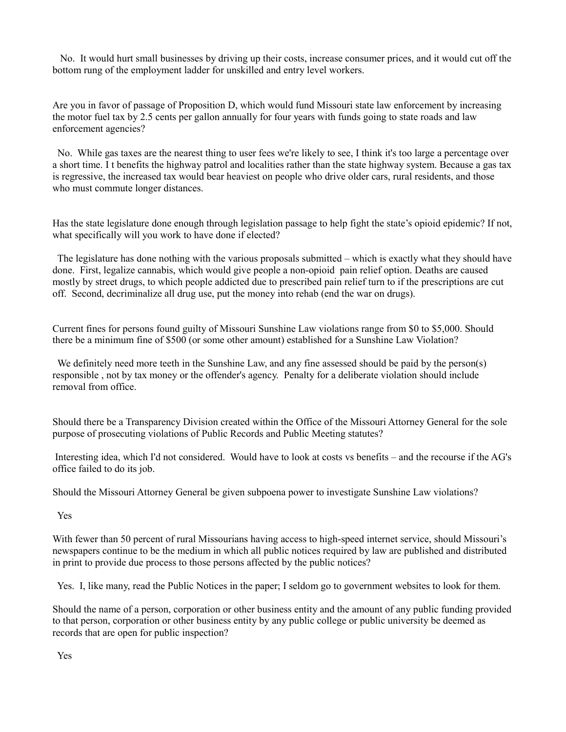No. It would hurt small businesses by driving up their costs, increase consumer prices, and it would cut off the bottom rung of the employment ladder for unskilled and entry level workers.

Are you in favor of passage of Proposition D, which would fund Missouri state law enforcement by increasing the motor fuel tax by 2.5 cents per gallon annually for four years with funds going to state roads and law enforcement agencies?

 No. While gas taxes are the nearest thing to user fees we're likely to see, I think it's too large a percentage over a short time. I t benefits the highway patrol and localities rather than the state highway system. Because a gas tax is regressive, the increased tax would bear heaviest on people who drive older cars, rural residents, and those who must commute longer distances.

Has the state legislature done enough through legislation passage to help fight the state's opioid epidemic? If not, what specifically will you work to have done if elected?

 The legislature has done nothing with the various proposals submitted – which is exactly what they should have done. First, legalize cannabis, which would give people a non-opioid pain relief option. Deaths are caused mostly by street drugs, to which people addicted due to prescribed pain relief turn to if the prescriptions are cut off. Second, decriminalize all drug use, put the money into rehab (end the war on drugs).

Current fines for persons found guilty of Missouri Sunshine Law violations range from \$0 to \$5,000. Should there be a minimum fine of \$500 (or some other amount) established for a Sunshine Law Violation?

We definitely need more teeth in the Sunshine Law, and any fine assessed should be paid by the person(s) responsible , not by tax money or the offender's agency. Penalty for a deliberate violation should include removal from office.

Should there be a Transparency Division created within the Office of the Missouri Attorney General for the sole purpose of prosecuting violations of Public Records and Public Meeting statutes?

 Interesting idea, which I'd not considered. Would have to look at costs vs benefits – and the recourse if the AG's office failed to do its job.

Should the Missouri Attorney General be given subpoena power to investigate Sunshine Law violations?

Yes

With fewer than 50 percent of rural Missourians having access to high-speed internet service, should Missouri's newspapers continue to be the medium in which all public notices required by law are published and distributed in print to provide due process to those persons affected by the public notices?

Yes. I, like many, read the Public Notices in the paper; I seldom go to government websites to look for them.

Should the name of a person, corporation or other business entity and the amount of any public funding provided to that person, corporation or other business entity by any public college or public university be deemed as records that are open for public inspection?

Yes